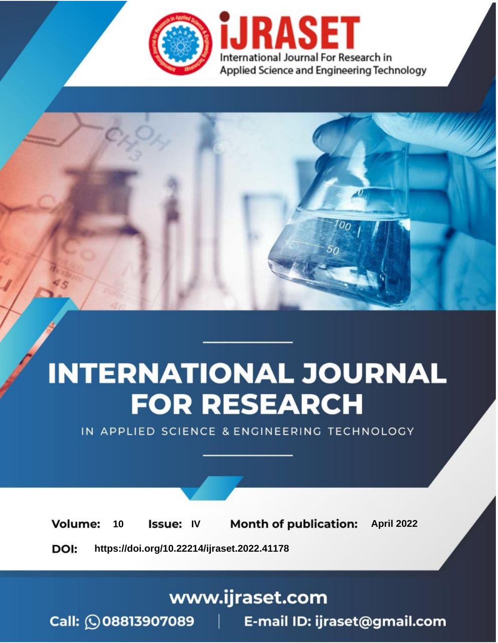

# **INTERNATIONAL JOURNAL FOR RESEARCH**

IN APPLIED SCIENCE & ENGINEERING TECHNOLOGY

10 **Issue: IV Month of publication:** April 2022 **Volume:** 

**https://doi.org/10.22214/ijraset.2022.41178**DOI:

www.ijraset.com

Call: 008813907089 | E-mail ID: ijraset@gmail.com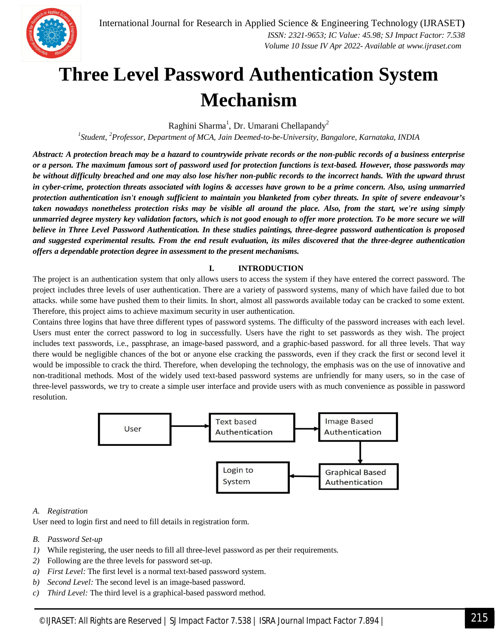### **Three Level Password Authentication System Mechanism**

Raghini Sharma<sup>1</sup>, Dr. Umarani Chellapandy<sup>2</sup>

*1 Student, <sup>2</sup>Professor, Department of MCA, Jain Deemed-to-be-University, Bangalore, Karnataka, INDIA*

*Abstract: A protection breach may be a hazard to countrywide private records or the non-public records of a business enterprise or a person. The maximum famous sort of password used for protection functions is text-based. However, those passwords may be without difficulty breached and one may also lose his/her non-public records to the incorrect hands. With the upward thrust in cyber-crime, protection threats associated with logins & accesses have grown to be a prime concern. Also, using unmarried protection authentication isn't enough sufficient to maintain you blanketed from cyber threats. In spite of severe endeavour's taken nowadays nonetheless protection risks may be visible all around the place. Also, from the start, we're using simply unmarried degree mystery key validation factors, which is not good enough to offer more protection. To be more secure we will believe in Three Level Password Authentication. In these studies paintings, three-degree password authentication is proposed and suggested experimental results. From the end result evaluation, its miles discovered that the three-degree authentication offers a dependable protection degree in assessment to the present mechanisms.*

#### **I. INTRODUCTION**

The project is an authentication system that only allows users to access the system if they have entered the correct password. The project includes three levels of user authentication. There are a variety of password systems, many of which have failed due to bot attacks. while some have pushed them to their limits. In short, almost all passwords available today can be cracked to some extent. Therefore, this project aims to achieve maximum security in user authentication.

Contains three logins that have three different types of password systems. The difficulty of the password increases with each level. Users must enter the correct password to log in successfully. Users have the right to set passwords as they wish. The project includes text passwords, i.e., passphrase, an image-based password, and a graphic-based password. for all three levels. That way there would be negligible chances of the bot or anyone else cracking the passwords, even if they crack the first or second level it would be impossible to crack the third. Therefore, when developing the technology, the emphasis was on the use of innovative and non-traditional methods. Most of the widely used text-based password systems are unfriendly for many users, so in the case of three-level passwords, we try to create a simple user interface and provide users with as much convenience as possible in password resolution.



#### *A. Registration*

User need to login first and need to fill details in registration form.

- *B. Password Set-up*
- *1*) While registering, the user needs to fill all three-level password as per their requirements.
- *2)* Following are the three levels for password set-up.
- *a) First Level:* The first level is a normal text-based password system.
- *b) Second Level:* The second level is an image-based password.
- *c) Third Level:* The third level is a graphical-based password method.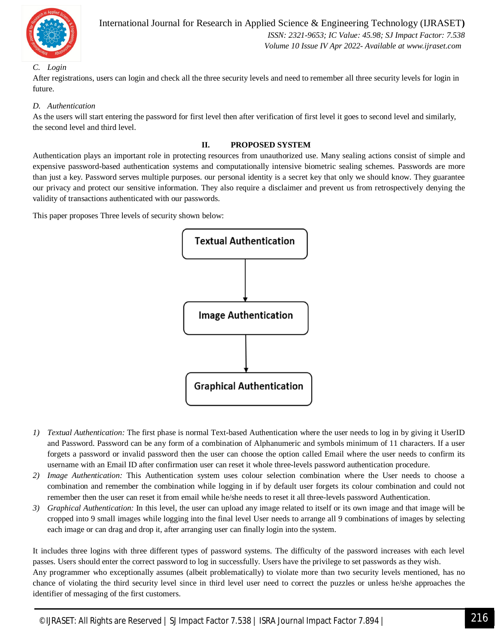

#### *C. Login*

International Journal for Research in Applied Science & Engineering Technology (IJRASET**)**  *ISSN: 2321-9653; IC Value: 45.98; SJ Impact Factor: 7.538 Volume 10 Issue IV Apr 2022- Available at www.ijraset.com*

After registrations, users can login and check all the three security levels and need to remember all three security levels for login in future.

#### *D. Authentication*

As the users will start entering the password for first level then after verification of first level it goes to second level and similarly, the second level and third level.

#### **II. PROPOSED SYSTEM**

Authentication plays an important role in protecting resources from unauthorized use. Many sealing actions consist of simple and expensive password-based authentication systems and computationally intensive biometric sealing schemes. Passwords are more than just a key. Password serves multiple purposes. our personal identity is a secret key that only we should know. They guarantee our privacy and protect our sensitive information. They also require a disclaimer and prevent us from retrospectively denying the validity of transactions authenticated with our passwords.

This paper proposes Three levels of security shown below:



- *1) Textual Authentication:* The first phase is normal Text-based Authentication where the user needs to log in by giving it UserID and Password. Password can be any form of a combination of Alphanumeric and symbols minimum of 11 characters. If a user forgets a password or invalid password then the user can choose the option called Email where the user needs to confirm its username with an Email ID after confirmation user can reset it whole three-levels password authentication procedure.
- *2) Image Authentication:* This Authentication system uses colour selection combination where the User needs to choose a combination and remember the combination while logging in if by default user forgets its colour combination and could not remember then the user can reset it from email while he/she needs to reset it all three-levels password Authentication.
- *3) Graphical Authentication:* In this level, the user can upload any image related to itself or its own image and that image will be cropped into 9 small images while logging into the final level User needs to arrange all 9 combinations of images by selecting each image or can drag and drop it, after arranging user can finally login into the system.

It includes three logins with three different types of password systems. The difficulty of the password increases with each level passes. Users should enter the correct password to log in successfully. Users have the privilege to set passwords as they wish. Any programmer who exceptionally assumes (albeit problematically) to violate more than two security levels mentioned, has no chance of violating the third security level since in third level user need to correct the puzzles or unless he/she approaches the identifier of messaging of the first customers.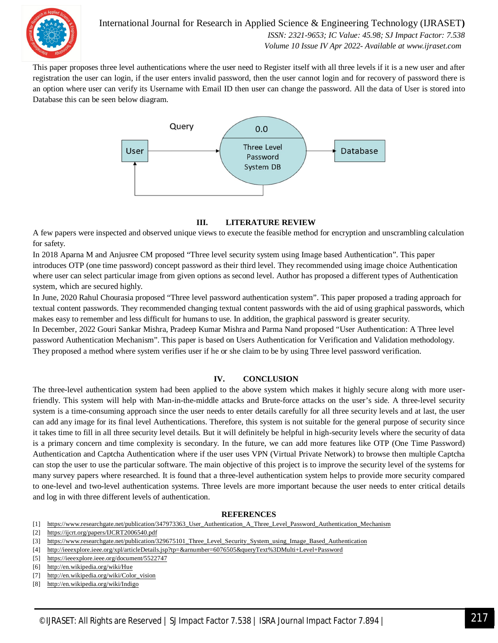

International Journal for Research in Applied Science & Engineering Technology (IJRASET**)**  *ISSN: 2321-9653; IC Value: 45.98; SJ Impact Factor: 7.538 Volume 10 Issue IV Apr 2022- Available at www.ijraset.com*

This paper proposes three level authentications where the user need to Register itself with all three levels if it is a new user and after registration the user can login, if the user enters invalid password, then the user cannot login and for recovery of password there is an option where user can verify its Username with Email ID then user can change the password. All the data of User is stored into Database this can be seen below diagram.



#### **III. LITERATURE REVIEW**

A few papers were inspected and observed unique views to execute the feasible method for encryption and unscrambling calculation for safety.

In 2018 Aparna M and Anjusree CM proposed "Three level security system using Image based Authentication". This paper introduces OTP (one time password) concept password as their third level. They recommended using image choice Authentication where user can select particular image from given options as second level. Author has proposed a different types of Authentication system, which are secured highly.

In June, 2020 Rahul Chourasia proposed "Three level password authentication system". This paper proposed a trading approach for textual content passwords. They recommended changing textual content passwords with the aid of using graphical passwords, which makes easy to remember and less difficult for humans to use. In addition, the graphical password is greater security.

In December, 2022 Gouri Sankar Mishra, Pradeep Kumar Mishra and Parma Nand proposed "User Authentication: A Three level password Authentication Mechanism". This paper is based on Users Authentication for Verification and Validation methodology. They proposed a method where system verifies user if he or she claim to be by using Three level password verification.

#### **IV. CONCLUSION**

The three-level authentication system had been applied to the above system which makes it highly secure along with more userfriendly. This system will help with Man-in-the-middle attacks and Brute-force attacks on the user's side. A three-level security system is a time-consuming approach since the user needs to enter details carefully for all three security levels and at last, the user can add any image for its final level Authentications. Therefore, this system is not suitable for the general purpose of security since it takes time to fill in all three security level details. But it will definitely be helpful in high-security levels where the security of data is a primary concern and time complexity is secondary. In the future, we can add more features like OTP (One Time Password) Authentication and Captcha Authentication where if the user uses VPN (Virtual Private Network) to browse then multiple Captcha can stop the user to use the particular software. The main objective of this project is to improve the security level of the systems for many survey papers where researched. It is found that a three-level authentication system helps to provide more security compared to one-level and two-level authentication systems. Three levels are more important because the user needs to enter critical details and log in with three different levels of authentication.

#### **REFERENCES**

- [1] https://www.researchgate.net/publication/347973363\_User\_Authentication\_A\_Three\_Level\_Password\_Authentication\_Mechanism
- [2] https://ijcrt.org/papers/IJCRT2006540.pdf

- [4] http://ieeexplore.ieee.org/xpl/articleDetails.jsp?tp=&arnumber=6076505&queryText%3DMulti+Level+Password
- [5] https://ieeexplore.ieee.org/document/5522747

- [7] http://en.wikipedia.org/wiki/Color\_vision
- [8] http://en.wikipedia.org/wiki/Indigo

<sup>[3]</sup> https://www.researchgate.net/publication/329675101\_Three\_Level\_Security\_System\_using\_Image\_Based\_Authentication

<sup>[6]</sup> http://en.wikipedia.org/wiki/Hue